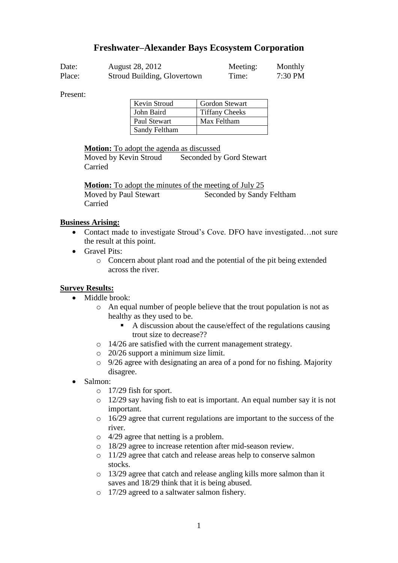# **Freshwater–Alexander Bays Ecosystem Corporation**

| Date:  | August 28, 2012             | Meeting: | Monthly   |
|--------|-----------------------------|----------|-----------|
| Place: | Stroud Building, Glovertown | Time:    | $7:30$ PM |

Present:

| Kevin Stroud  | <b>Gordon Stewart</b> |
|---------------|-----------------------|
| John Baird    | <b>Tiffany Cheeks</b> |
| Paul Stewart  | Max Feltham           |
| Sandy Feltham |                       |

**Motion:** To adopt the agenda as discussed

Moved by Kevin Stroud Seconded by Gord Stewart Carried

**Motion:** To adopt the minutes of the meeting of July 25 Moved by Paul Stewart Seconded by Sandy Feltham Carried

#### **Business Arising:**

- Contact made to investigate Stroud's Cove. DFO have investigated... not sure the result at this point.
- Gravel Pits:
	- o Concern about plant road and the potential of the pit being extended across the river.

## **Survey Results:**

- Middle brook:
	- o An equal number of people believe that the trout population is not as healthy as they used to be.
		- A discussion about the cause/effect of the regulations causing trout size to decrease??
	- o 14/26 are satisfied with the current management strategy.
	- o 20/26 support a minimum size limit.
	- o 9/26 agree with designating an area of a pond for no fishing. Majority disagree.
- Salmon:
	- o 17/29 fish for sport.
	- o 12/29 say having fish to eat is important. An equal number say it is not important.
	- o 16/29 agree that current regulations are important to the success of the river.
	- o 4/29 agree that netting is a problem.
	- o 18/29 agree to increase retention after mid-season review.
	- o 11/29 agree that catch and release areas help to conserve salmon stocks.
	- o 13/29 agree that catch and release angling kills more salmon than it saves and 18/29 think that it is being abused.
	- o 17/29 agreed to a saltwater salmon fishery.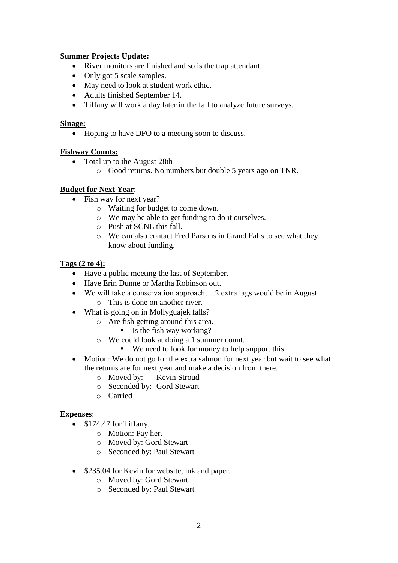## **Summer Projects Update:**

- River monitors are finished and so is the trap attendant.
- Only got 5 scale samples.
- May need to look at student work ethic.
- Adults finished September 14.
- Tiffany will work a day later in the fall to analyze future surveys.

#### **Sinage:**

• Hoping to have DFO to a meeting soon to discuss.

#### **Fishway Counts:**

- Total up to the August 28th
	- o Good returns. No numbers but double 5 years ago on TNR.

## **Budget for Next Year**:

- Fish way for next year?
	- o Waiting for budget to come down.
	- o We may be able to get funding to do it ourselves.
	- o Push at SCNL this fall.
	- o We can also contact Fred Parsons in Grand Falls to see what they know about funding.

### **Tags (2 to 4):**

- Have a public meeting the last of September.
- Have Erin Dunne or Martha Robinson out.
- We will take a conservation approach….2 extra tags would be in August. o This is done on another river.
- What is going on in Mollyguajek falls?
	- o Are fish getting around this area.
		- $\blacksquare$  Is the fish way working?
	- o We could look at doing a 1 summer count.
		- We need to look for money to help support this.
- Motion: We do not go for the extra salmon for next year but wait to see what the returns are for next year and make a decision from there.
	- o Moved by: Kevin Stroud
	- o Seconded by: Gord Stewart
	- o Carried

#### **Expenses**:

- \$174.47 for Tiffany.
	- o Motion: Pay her.
	- o Moved by: Gord Stewart
	- o Seconded by: Paul Stewart
- \$235.04 for Kevin for website, ink and paper.
	- o Moved by: Gord Stewart
	- o Seconded by: Paul Stewart